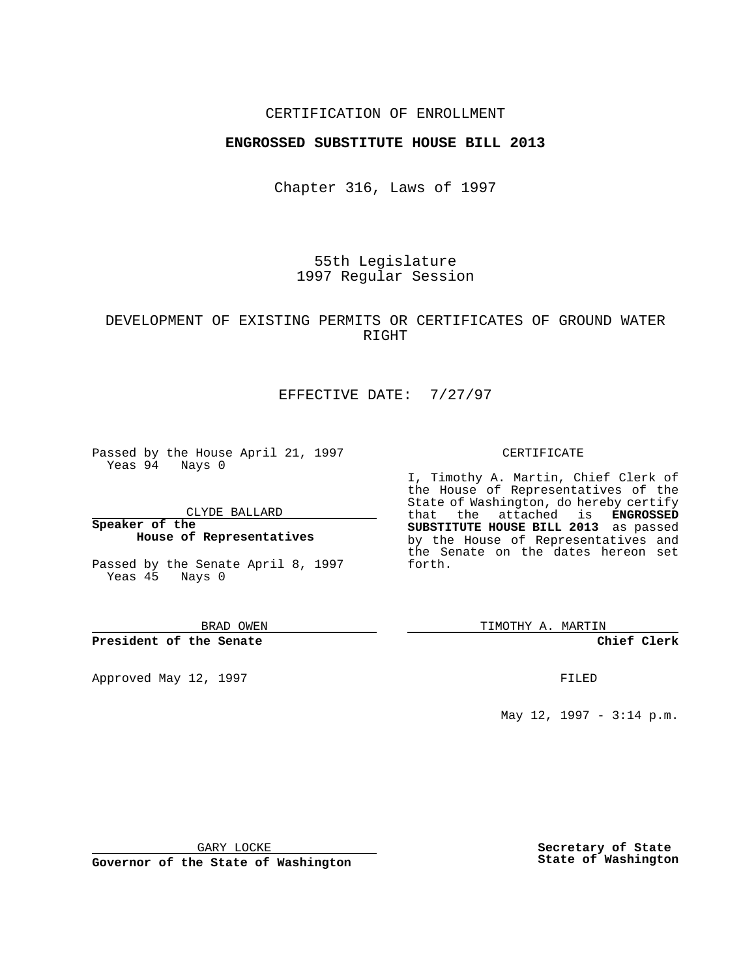### CERTIFICATION OF ENROLLMENT

## **ENGROSSED SUBSTITUTE HOUSE BILL 2013**

Chapter 316, Laws of 1997

55th Legislature 1997 Regular Session

## DEVELOPMENT OF EXISTING PERMITS OR CERTIFICATES OF GROUND WATER RIGHT

# EFFECTIVE DATE: 7/27/97

Passed by the House April 21, 1997 Yeas 94 Nays 0

CLYDE BALLARD

**Speaker of the House of Representatives**

Passed by the Senate April 8, 1997 Yeas 45 Nays 0

BRAD OWEN

#### **President of the Senate**

Approved May 12, 1997 **FILED** 

#### CERTIFICATE

I, Timothy A. Martin, Chief Clerk of the House of Representatives of the State of Washington, do hereby certify that the attached is **ENGROSSED SUBSTITUTE HOUSE BILL 2013** as passed by the House of Representatives and the Senate on the dates hereon set forth.

TIMOTHY A. MARTIN

### **Chief Clerk**

May 12, 1997 - 3:14 p.m.

GARY LOCKE

**Governor of the State of Washington**

**Secretary of State State of Washington**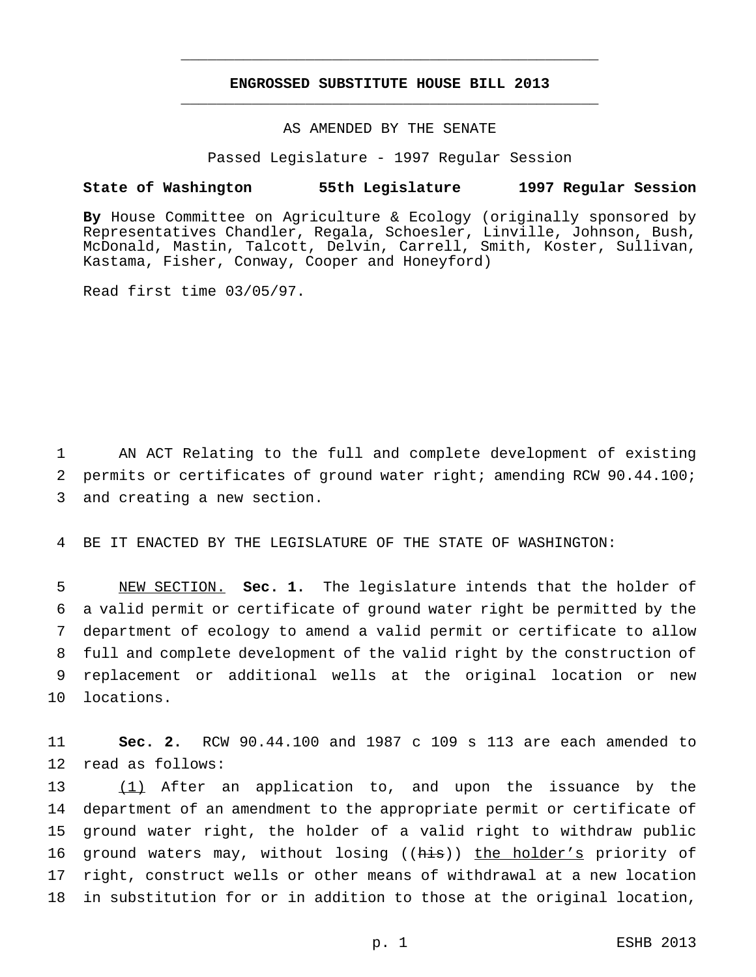## **ENGROSSED SUBSTITUTE HOUSE BILL 2013** \_\_\_\_\_\_\_\_\_\_\_\_\_\_\_\_\_\_\_\_\_\_\_\_\_\_\_\_\_\_\_\_\_\_\_\_\_\_\_\_\_\_\_\_\_\_\_

\_\_\_\_\_\_\_\_\_\_\_\_\_\_\_\_\_\_\_\_\_\_\_\_\_\_\_\_\_\_\_\_\_\_\_\_\_\_\_\_\_\_\_\_\_\_\_

## AS AMENDED BY THE SENATE

Passed Legislature - 1997 Regular Session

#### **State of Washington 55th Legislature 1997 Regular Session**

**By** House Committee on Agriculture & Ecology (originally sponsored by Representatives Chandler, Regala, Schoesler, Linville, Johnson, Bush, McDonald, Mastin, Talcott, Delvin, Carrell, Smith, Koster, Sullivan, Kastama, Fisher, Conway, Cooper and Honeyford)

Read first time 03/05/97.

1 AN ACT Relating to the full and complete development of existing 2 permits or certificates of ground water right; amending RCW 90.44.100; 3 and creating a new section.

4 BE IT ENACTED BY THE LEGISLATURE OF THE STATE OF WASHINGTON:

 NEW SECTION. **Sec. 1.** The legislature intends that the holder of a valid permit or certificate of ground water right be permitted by the department of ecology to amend a valid permit or certificate to allow full and complete development of the valid right by the construction of replacement or additional wells at the original location or new locations.

11 **Sec. 2.** RCW 90.44.100 and 1987 c 109 s 113 are each amended to 12 read as follows:

13 (1) After an application to, and upon the issuance by the department of an amendment to the appropriate permit or certificate of ground water right, the holder of a valid right to withdraw public 16 ground waters may, without losing ((his)) the holder's priority of right, construct wells or other means of withdrawal at a new location in substitution for or in addition to those at the original location,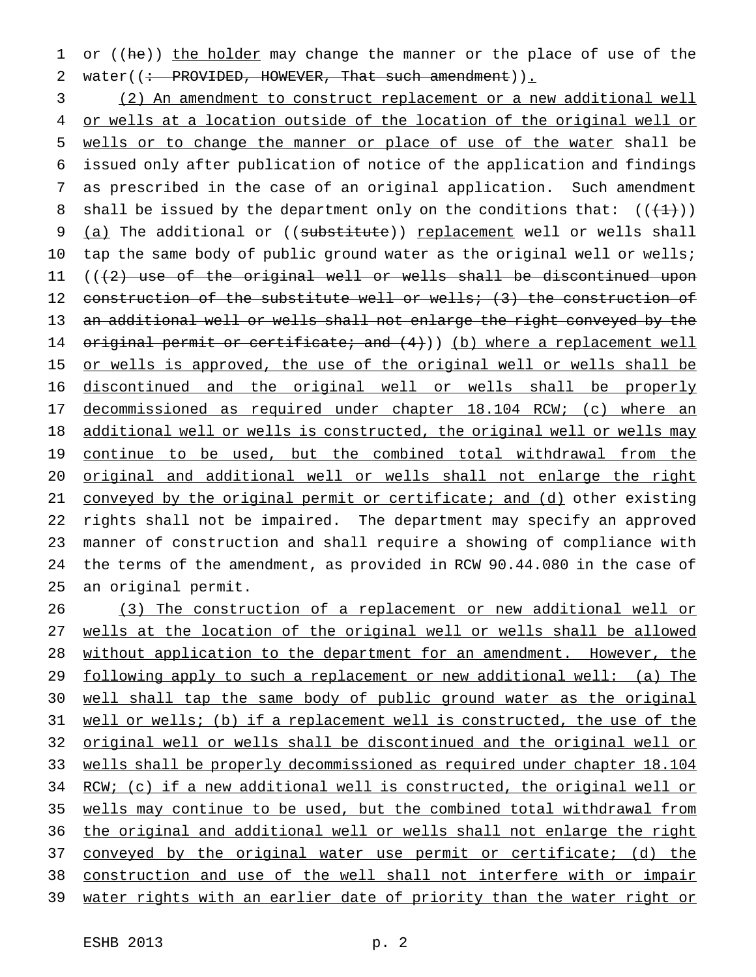1 or ((he)) the holder may change the manner or the place of use of the 2 water( $\left(\div\right)$  PROVIDED, HOWEVER, That such amendment)).

 (2) An amendment to construct replacement or a new additional well or wells at a location outside of the location of the original well or wells or to change the manner or place of use of the water shall be issued only after publication of notice of the application and findings as prescribed in the case of an original application. Such amendment 8 shall be issued by the department only on the conditions that:  $((+1))$ 9 (a) The additional or ((substitute)) replacement well or wells shall tap the same body of public ground water as the original well or wells;  $((2)$  use of the original well or wells shall be discontinued upon 12 construction of the substitute well or wells; (3) the construction of an additional well or wells shall not enlarge the right conveyed by the 14 original permit or certificate; and  $(4)$ )) (b) where a replacement well 15 or wells is approved, the use of the original well or wells shall be discontinued and the original well or wells shall be properly decommissioned as required under chapter 18.104 RCW; (c) where an 18 additional well or wells is constructed, the original well or wells may continue to be used, but the combined total withdrawal from the original and additional well or wells shall not enlarge the right 21 conveyed by the original permit or certificate; and (d) other existing rights shall not be impaired. The department may specify an approved manner of construction and shall require a showing of compliance with the terms of the amendment, as provided in RCW 90.44.080 in the case of an original permit.

 (3) The construction of a replacement or new additional well or wells at the location of the original well or wells shall be allowed 28 without application to the department for an amendment. However, the following apply to such a replacement or new additional well: (a) The well shall tap the same body of public ground water as the original well or wells; (b) if a replacement well is constructed, the use of the original well or wells shall be discontinued and the original well or wells shall be properly decommissioned as required under chapter 18.104 RCW; (c) if a new additional well is constructed, the original well or wells may continue to be used, but the combined total withdrawal from the original and additional well or wells shall not enlarge the right conveyed by the original water use permit or certificate; (d) the construction and use of the well shall not interfere with or impair water rights with an earlier date of priority than the water right or